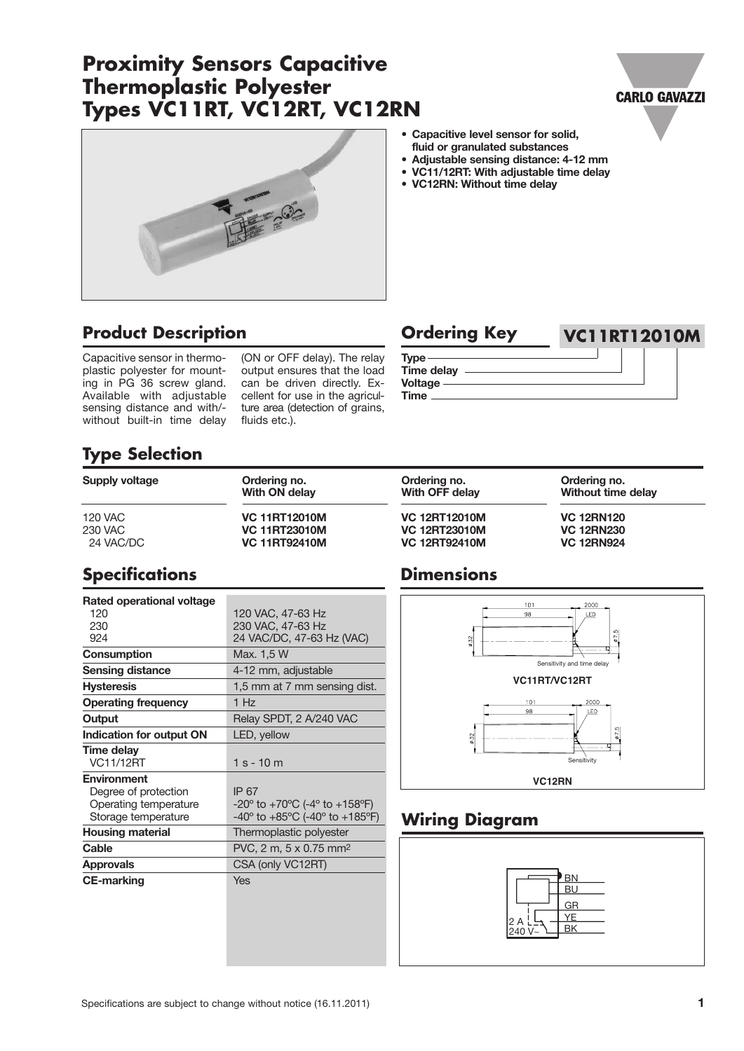# **Proximity Sensors Capacitive Thermoplastic Polyester Types VC11RT, VC12RT, VC12RN**





# **Product Description Ordering Key VC11RT12010M**

Capacitive sensor in thermoplastic polyester for mounting in PG 36 screw gland. Available with adjustable sensing distance and with/ without built-in time delay

(ON or OFF delay). The relay output ensures that the load can be driven directly. Excellent for use in the agriculture area (detection of grains, fluids etc.).

| <b>ALACLINA IZEA</b> | VULIKI IZUTUN |
|----------------------|---------------|
| Tvpe -               |               |
| <b>Time delay</b>    |               |
| <b>Voltage</b>       |               |
| Time                 |               |

**Supply voltage Ordering no. Ordering no. Ordering no. With OFF** delay **Without time** delay

120 VAC **VC 11RT12010M VC 12RT12010M VC 12RN120** 230 VAC **VC 11RT23010M VC 12RT23010M VC 12RN230**

**• Capacitive level sensor for solid, fluid or granulated substances • Adjustable sensing distance: 4-12 mm • VC11/12RT: With adjustable time delay**

**• VC12RN: Without time delay**

# **Type Selection**

| Supply voltage | Ordering no.<br>With ON delay |  |
|----------------|-------------------------------|--|
| 120 VAC        | <b>VC 11RT12010M</b>          |  |
| 230 VAC        | <b>VC 11RT23010M</b>          |  |
| 24 VAC/DC      | <b>VC. 11RT92410M</b>         |  |

## **Specifications**

| Rated operational voltage<br>120 | 120 VAC, 47-63 Hz                                                     |
|----------------------------------|-----------------------------------------------------------------------|
| 230                              | 230 VAC, 47-63 Hz                                                     |
| 924                              | 24 VAC/DC, 47-63 Hz (VAC)                                             |
| Consumption                      | Max. 1,5 W                                                            |
| <b>Sensing distance</b>          | 4-12 mm, adjustable                                                   |
| <b>Hysteresis</b>                | 1,5 mm at 7 mm sensing dist.                                          |
| <b>Operating frequency</b>       | 1 H <sub>z</sub>                                                      |
| Output                           | Relay SPDT, 2 A/240 VAC                                               |
| <b>Indication for output ON</b>  | LED, yellow                                                           |
| <b>Time delay</b>                |                                                                       |
| <b>VC11/12RT</b>                 | 1 s - 10 m                                                            |
| <b>Environment</b>               |                                                                       |
| Degree of protection             | IP 67                                                                 |
| Operating temperature            | $-20^{\circ}$ to $+70^{\circ}$ C (-4 $^{\circ}$ to $+158^{\circ}$ F)  |
| Storage temperature              | $-40^{\circ}$ to $+85^{\circ}$ C (-40 $^{\circ}$ to $+185^{\circ}$ F) |
| <b>Housing material</b>          | Thermoplastic polyester                                               |
| Cable                            | PVC, 2 m, 5 x 0.75 mm <sup>2</sup>                                    |
| <b>Approvals</b>                 | CSA (only VC12RT)                                                     |
| <b>CE-marking</b>                | Yes                                                                   |
|                                  |                                                                       |
|                                  |                                                                       |
|                                  |                                                                       |
|                                  |                                                                       |

### **Dimensions**

24 VAC/DC **VC 11RT92410M VC 12RT92410M VC 12RN924**



## **Wiring Diagram**